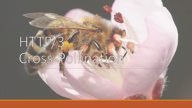## HTTP/3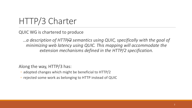## HTTP/3 Charter

QUIC WG is chartered to produce

*…a description of HTTP/2 semantics using QUIC, specifically with the goal of minimizing web latency using QUIC. This mapping will accommodate the extension mechanisms defined in the HTTP/2 specification.*

Along the way, HTTP/3 has:

- adopted changes which might be beneficial to HTTP/2
- rejected some work as belonging to HTTP instead of QUIC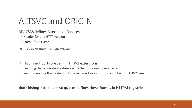## ALTSVC and ORIGIN

RFC 7838 defines Alternative Services

- Header for any HTTP version
- Frame for HTTP/2

RFC 8336 defines ORIGIN frame

HTTP/3 is not porting existing HTTP/2 extensions

- Ensuring that equivalent extension mechanisms exist, per charter
- Recommending that code points be assigned so as not to conflict with HTTP/2 uses

**draft-bishop-httpbis-altsvc-quic re-defines these frames in HTTP/3 registries**